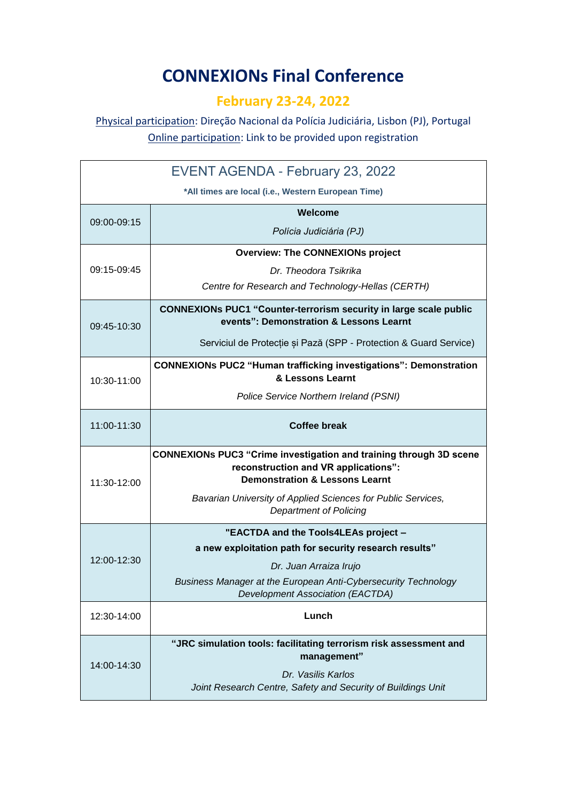## **CONNEXIONs Final Conference**

## **February 23-24, 2022**

Physical participation: Direção Nacional da Polícia Judiciária, Lisbon (PJ), Portugal Online participation: Link to be provided upon registration

| EVENT AGENDA - February 23, 2022                   |                                                                                                                     |  |
|----------------------------------------------------|---------------------------------------------------------------------------------------------------------------------|--|
| *All times are local (i.e., Western European Time) |                                                                                                                     |  |
| 09:00-09:15                                        | Welcome                                                                                                             |  |
|                                                    | Polícia Judiciária (PJ)                                                                                             |  |
| 09:15-09:45                                        | <b>Overview: The CONNEXIONs project</b>                                                                             |  |
|                                                    | Dr. Theodora Tsikrika                                                                                               |  |
|                                                    | Centre for Research and Technology-Hellas (CERTH)                                                                   |  |
| 09:45-10:30                                        | <b>CONNEXIONs PUC1 "Counter-terrorism security in large scale public</b><br>events": Demonstration & Lessons Learnt |  |
|                                                    | Serviciul de Protecție și Pază (SPP - Protection & Guard Service)                                                   |  |
| 10:30-11:00                                        | <b>CONNEXIONs PUC2 "Human trafficking investigations": Demonstration</b><br>& Lessons Learnt                        |  |
|                                                    | Police Service Northern Ireland (PSNI)                                                                              |  |
| 11:00-11:30                                        | <b>Coffee break</b>                                                                                                 |  |
| 11:30-12:00                                        | <b>CONNEXIONs PUC3 "Crime investigation and training through 3D scene</b><br>reconstruction and VR applications":   |  |
|                                                    | <b>Demonstration &amp; Lessons Learnt</b>                                                                           |  |
|                                                    |                                                                                                                     |  |
|                                                    | Bavarian University of Applied Sciences for Public Services,<br>Department of Policing                              |  |
|                                                    | "EACTDA and the Tools4LEAs project -                                                                                |  |
|                                                    | a new exploitation path for security research results"                                                              |  |
| 12:00-12:30                                        | Dr. Juan Arraiza Irujo                                                                                              |  |
|                                                    | Business Manager at the European Anti-Cybersecurity Technology<br><b>Development Association (EACTDA)</b>           |  |
| 12:30-14:00                                        | Lunch                                                                                                               |  |
|                                                    | "JRC simulation tools: facilitating terrorism risk assessment and<br>management"                                    |  |
| 14:00-14:30                                        | Dr. Vasilis Karlos<br>Joint Research Centre, Safety and Security of Buildings Unit                                  |  |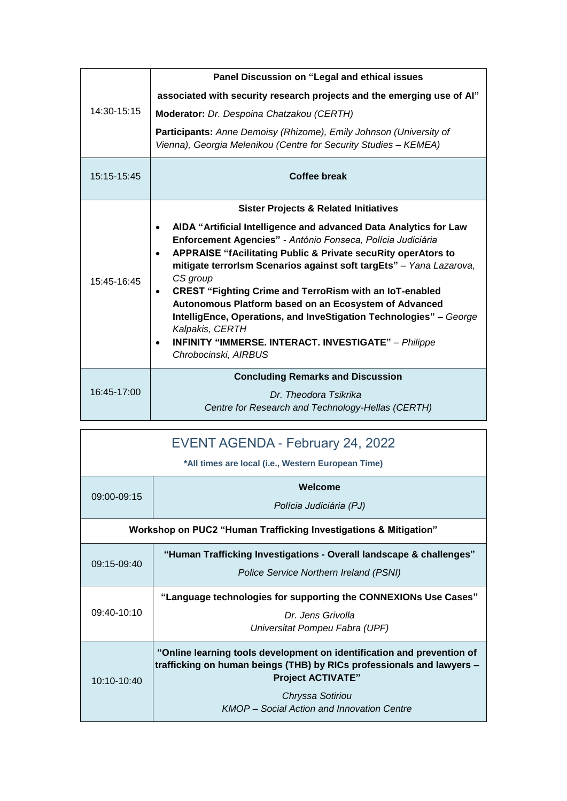| 14:30-15:15 | Panel Discussion on "Legal and ethical issues<br>associated with security research projects and the emerging use of Al"<br>Moderator: Dr. Despoina Chatzakou (CERTH)<br>Participants: Anne Demoisy (Rhizome), Emily Johnson (University of<br>Vienna), Georgia Melenikou (Centre for Security Studies - KEMEA)                                                                                                                                                                                                                                                                                                                                                                                |
|-------------|-----------------------------------------------------------------------------------------------------------------------------------------------------------------------------------------------------------------------------------------------------------------------------------------------------------------------------------------------------------------------------------------------------------------------------------------------------------------------------------------------------------------------------------------------------------------------------------------------------------------------------------------------------------------------------------------------|
| 15:15-15:45 | Coffee break                                                                                                                                                                                                                                                                                                                                                                                                                                                                                                                                                                                                                                                                                  |
| 15:45-16:45 | <b>Sister Projects &amp; Related Initiatives</b><br>AIDA "Artificial Intelligence and advanced Data Analytics for Law<br>٠<br>Enforcement Agencies" - António Fonseca, Polícia Judiciária<br><b>APPRAISE "fAcilitating Public &amp; Private secuRity operAtors to</b><br>$\bullet$<br>mitigate terrorlsm Scenarios against soft targEts" - Yana Lazarova,<br>CS group<br><b>CREST "Fighting Crime and TerroRism with an IoT-enabled</b><br>$\bullet$<br>Autonomous Platform based on an Ecosystem of Advanced<br>IntelligEnce, Operations, and InveStigation Technologies" - George<br>Kalpakis, CERTH<br><b>INFINITY "IMMERSE. INTERACT. INVESTIGATE"</b> - Philippe<br>Chrobocinski, AIRBUS |
| 16:45-17:00 | <b>Concluding Remarks and Discussion</b><br>Dr. Theodora Tsikrika<br>Centre for Research and Technology-Hellas (CERTH)                                                                                                                                                                                                                                                                                                                                                                                                                                                                                                                                                                        |

| EVENT AGENDA - February 24, 2022<br>*All times are local (i.e., Western European Time) |                                                                                                                                                                                                                                               |  |
|----------------------------------------------------------------------------------------|-----------------------------------------------------------------------------------------------------------------------------------------------------------------------------------------------------------------------------------------------|--|
| 09:00-09:15                                                                            | Welcome<br>Polícia Judiciária (PJ)                                                                                                                                                                                                            |  |
| Workshop on PUC2 "Human Trafficking Investigations & Mitigation"                       |                                                                                                                                                                                                                                               |  |
| $09:15-09:40$                                                                          | "Human Trafficking Investigations - Overall landscape & challenges"<br>Police Service Northern Ireland (PSNI)                                                                                                                                 |  |
| $09:40-10:10$                                                                          | "Language technologies for supporting the CONNEXIONs Use Cases"<br>Dr. Jens Grivolla<br>Universitat Pompeu Fabra (UPF)                                                                                                                        |  |
| 10:10-10:40                                                                            | "Online learning tools development on identification and prevention of<br>trafficking on human beings (THB) by RICs professionals and lawyers -<br><b>Project ACTIVATE"</b><br>Chryssa Sotiriou<br>KMOP - Social Action and Innovation Centre |  |